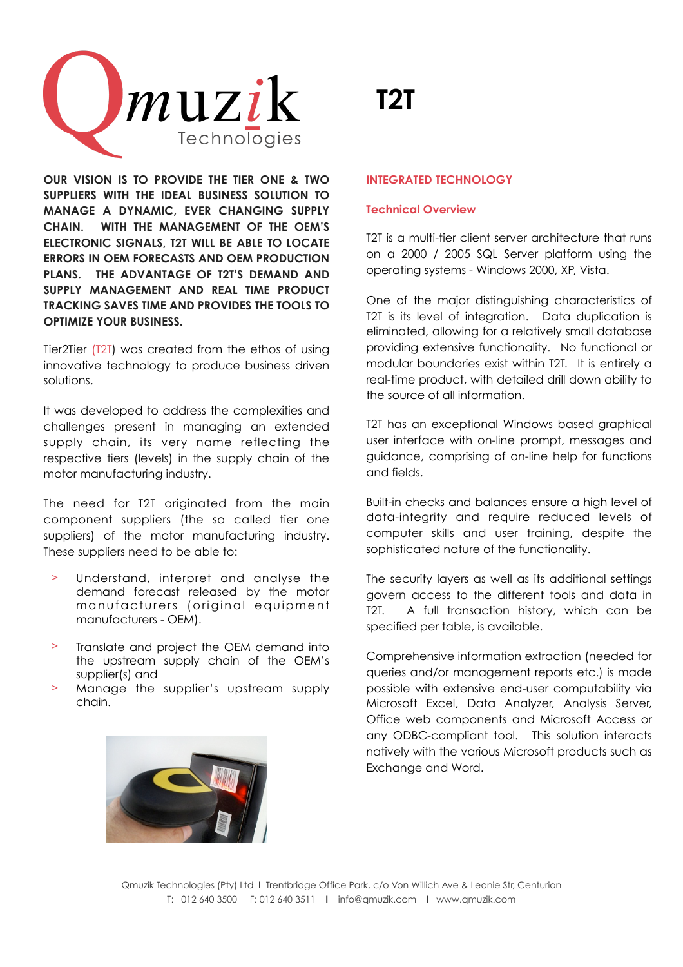

**OUR VISION IS TO PROVIDE THE TIER ONE & TWO SUPPLIERS WITH THE IDEAL BUSINESS SOLUTION TO MANAGE A DYNAMIC, EVER CHANGING SUPPLY CHAIN. WITH THE MANAGEMENT OF THE OEM'S ELECTRONIC SIGNALS, T2T WILL BE ABLE TO LOCATE ERRORS IN OEM FORECASTS AND OEM PRODUCTION PLANS. THE ADVANTAGE OF T2T'S DEMAND AND SUPPLY MANAGEMENT AND REAL TIME PRODUCT TRACKING SAVES TIME AND PROVIDES THE TOOLS TO OPTIMIZE YOUR BUSINESS.**

Tier2Tier (T2T) was created from the ethos of using innovative technology to produce business driven solutions.

It was developed to address the complexities and challenges present in managing an extended supply chain, its very name reflecting the respective tiers (levels) in the supply chain of the motor manufacturing industry.

The need for T2T originated from the main component suppliers (the so called tier one suppliers) of the motor manufacturing industry. These suppliers need to be able to:

- Understand, interpret and analyse the demand forecast released by the motor m an u facturers (original equipment manufacturers - OEM).
- > Translate and project the OEM demand into the upstream supply chain of the OEM's supplier(s) and
- > Manage the supplier's upstream supply chain.

# **T2T**

# **INTEGRATED TECHNOLOGY**

# **Technical Overview**

T2T is a multi-tier client server architecture that runs on a 2000 / 2005 SQL Server platform using the operating systems - Windows 2000, XP, Vista.

One of the major distinguishing characteristics of T2T is its level of integration. Data duplication is eliminated, allowing for a relatively small database providing extensive functionality. No functional or modular boundaries exist within T2T. It is entirely a real-time product, with detailed drill down ability to the source of all information.

T2T has an exceptional Windows based graphical user interface with on-line prompt, messages and guidance, comprising of on-line help for functions and fields.

Built-in checks and balances ensure a high level of data-integrity and require reduced levels of computer skills and user training, despite the sophisticated nature of the functionality.

The security layers as well as its additional settings govern access to the different tools and data in T2T. A full transaction history, which can be specified per table, is available.

Comprehensive information extraction (needed for queries and/or management reports etc.) is made possible with extensive end-user computability via Microsoft Excel, Data Analyzer, Analysis Server, Office web components and Microsoft Access or any ODBC-compliant tool. This solution interacts natively with the various Microsoft products such as Exchange and Word.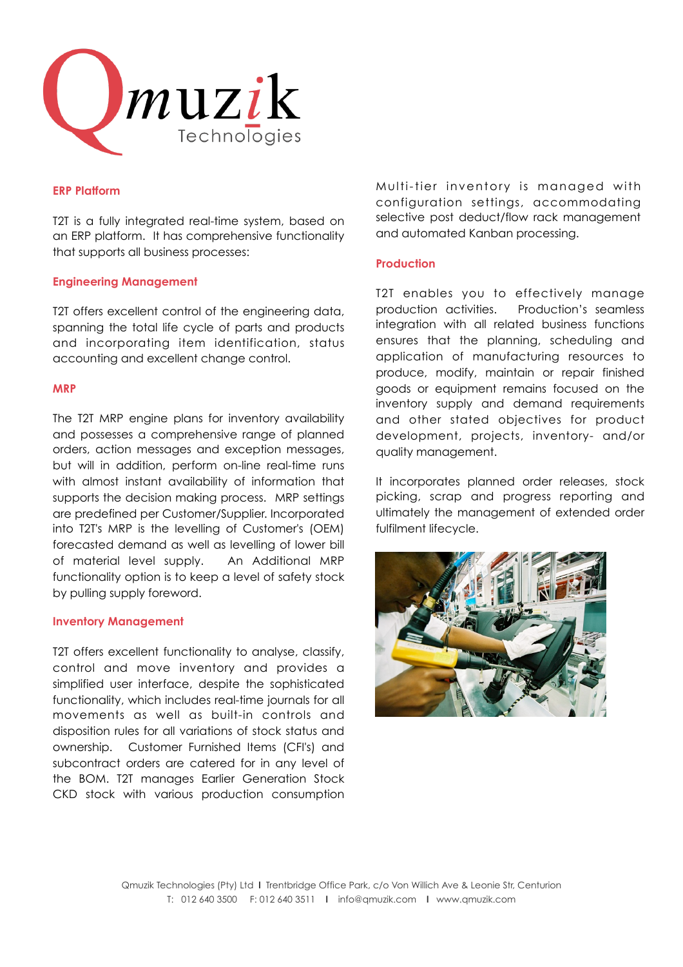

#### **ERP Platform**

T2T is a fully integrated real-time system, based on an ERP platform. It has comprehensive functionality that supports all business processes:

# **Engineering Management**

T2T offers excellent control of the engineering data, spanning the total life cycle of parts and products and incorporating item identification, status accounting and excellent change control.

#### **MRP**

The T2T MRP engine plans for inventory availability and possesses a comprehensive range of planned orders, action messages and exception messages, but will in addition, perform on-line real-time runs with almost instant availability of information that supports the decision making process. MRP settings are predefined per Customer/Supplier. Incorporated into T2T's MRP is the levelling of Customer's (OEM) forecasted demand as well as levelling of lower bill of material level supply. An Additional MRP functionality option is to keep a level of safety stock by pulling supply foreword.

#### **Inventory Management**

T2T offers excellent functionality to analyse, classify, control and move inventory and provides a simplified user interface, despite the sophisticated functionality, which includes real-time journals for all movements as well as built-in controls and disposition rules for all variations of stock status and ownership. Customer Furnished Items (CFI's) and subcontract orders are catered for in any level of the BOM. T2T manages Earlier Generation Stock CKD stock with various production consumption

Multi-tier inventory is managed with configuration settings, accommodating selective post deduct/flow rack management and automated Kanban processing.

#### **Production**

T2T enables you to effectively manage production activities. Production's seamless integration with all related business functions ensures that the planning, scheduling and application of manufacturing resources to produce, modify, maintain or repair finished goods or equipment remains focused on the inventory supply and demand requirements and other stated objectives for product development, projects, inventory- and/or quality management.

It incorporates planned order releases, stock picking, scrap and progress reporting and ultimately the management of extended order fulfilment lifecycle.

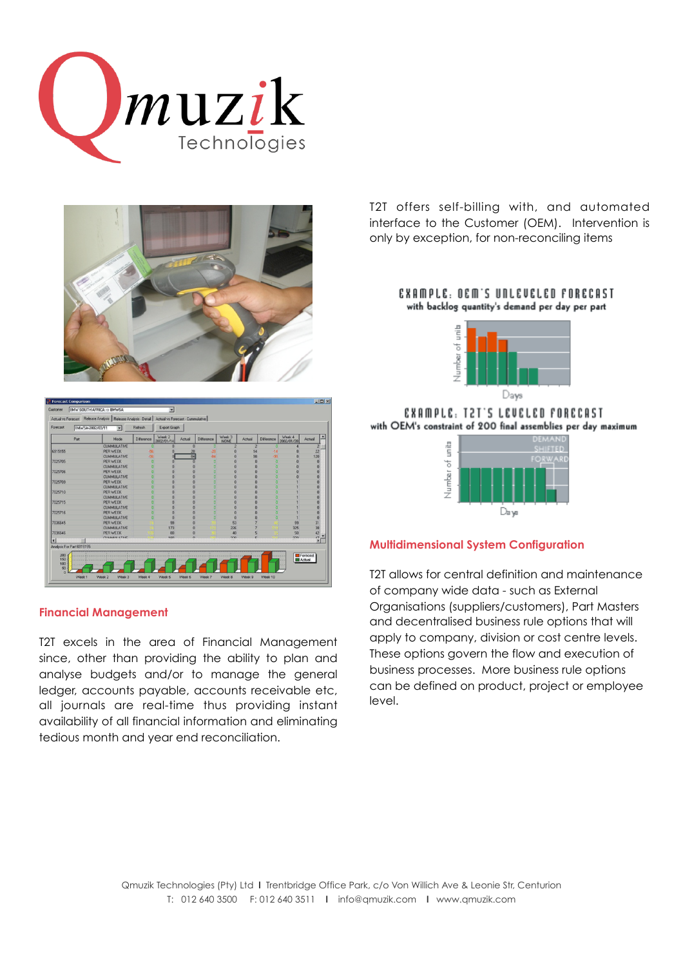



| Mode<br><b>CUMMULATIVE</b><br>PER WEEK<br><b>CUMMULATIVE</b><br><b>PER WEEK</b><br><b>CUMMULATIVE</b><br><b>PER WEEK</b><br><b>CUMMULATIVE</b> | Difference<br>-56<br>-56<br>n<br>a                                                                                                | 2002/01/14<br>$\Omega$<br>ø<br>n<br>O | Achual<br>$\Omega$<br>28<br>84<br>n | <b>Difference</b><br>28<br><b>Joa</b>        | <b>NONE</b><br>$\overline{c}$<br>$\theta$<br>$\theta$ | Actual<br>ø<br>14<br>98          | Difference<br>п<br>$-14$                 | 2002/01/28<br>$\overline{8}$ | a<br>Actual<br>$\overline{2}$<br>$\overline{z}$ |
|------------------------------------------------------------------------------------------------------------------------------------------------|-----------------------------------------------------------------------------------------------------------------------------------|---------------------------------------|-------------------------------------|----------------------------------------------|-------------------------------------------------------|----------------------------------|------------------------------------------|------------------------------|-------------------------------------------------|
|                                                                                                                                                |                                                                                                                                   |                                       |                                     |                                              |                                                       |                                  |                                          |                              |                                                 |
|                                                                                                                                                |                                                                                                                                   |                                       |                                     |                                              |                                                       |                                  |                                          |                              |                                                 |
|                                                                                                                                                |                                                                                                                                   |                                       |                                     |                                              |                                                       |                                  | $-98$                                    | $\overline{8}$               | 120                                             |
|                                                                                                                                                |                                                                                                                                   |                                       |                                     | ٠                                            | $\overline{0}$                                        | n                                | п                                        | $\bf{0}$                     | $\bf{0}$                                        |
|                                                                                                                                                |                                                                                                                                   |                                       | ō                                   | ٠                                            | $\overline{0}$                                        | n                                | п                                        | $\Omega$                     | $\bf{0}$                                        |
|                                                                                                                                                |                                                                                                                                   | o                                     | $\overline{0}$                      | ×                                            | $\Omega$                                              | $\Omega$                         | n                                        | $\alpha$                     | $\bf{0}$                                        |
|                                                                                                                                                | 'n                                                                                                                                | ø                                     | $\overline{0}$                      | n                                            | $\Omega$                                              | $\Omega$                         | ۵                                        | $\Omega$                     | $\bf{0}$                                        |
| <b>PER WEEK</b>                                                                                                                                | 'n                                                                                                                                | $\overline{0}$                        | $\overline{0}$                      |                                              | $\Omega$                                              | $\Omega$                         | п                                        |                              | $\bf{0}$                                        |
| <b>CUMMULATIVE</b>                                                                                                                             |                                                                                                                                   | n                                     | $\Omega$                            |                                              | $\bf{0}$                                              | $\Omega$                         |                                          |                              | $\bf{0}$                                        |
| <b>PER WEEK</b>                                                                                                                                |                                                                                                                                   | n                                     | $\Omega$                            |                                              | $\bf{0}$                                              | $\Omega$                         |                                          |                              | $\bf{0}$                                        |
|                                                                                                                                                |                                                                                                                                   | n                                     | $\Omega$                            |                                              | $\Omega$                                              | n                                | r                                        |                              | $\bf{0}$                                        |
|                                                                                                                                                |                                                                                                                                   |                                       |                                     |                                              |                                                       |                                  |                                          |                              | $\bf{0}$                                        |
|                                                                                                                                                |                                                                                                                                   |                                       |                                     |                                              |                                                       |                                  |                                          |                              | $\theta$                                        |
|                                                                                                                                                |                                                                                                                                   |                                       |                                     |                                              |                                                       |                                  |                                          |                              | $\bf{0}$                                        |
|                                                                                                                                                |                                                                                                                                   | o                                     |                                     |                                              | $\Omega$                                              | O                                | ٢                                        |                              | $\bf{0}$                                        |
| <b>PER WEEK</b>                                                                                                                                |                                                                                                                                   | 99                                    | $\Omega$                            |                                              | 53                                                    |                                  |                                          | 99                           | 31                                              |
| <b>CUMMULATIVE</b>                                                                                                                             |                                                                                                                                   | 173                                   | $\Omega$                            |                                              | 226                                                   |                                  |                                          |                              | $\overline{\mathcal{B}}$                        |
| PER WEEK                                                                                                                                       |                                                                                                                                   | 80                                    | $\theta$                            |                                              | 48                                                    | 5                                |                                          | 50                           | 42                                              |
| <b>CIBBURATOIC</b>                                                                                                                             |                                                                                                                                   | 100                                   | $\overline{a}$                      |                                              | 220                                                   | н                                |                                          | 220                          | $\sqrt{2}$                                      |
|                                                                                                                                                | <b>CUMMULATIVE</b><br><b>PER WEEK</b><br><b>CUMMULATIVE</b><br><b>PER WEEK</b><br><b>CUMMULATIVE</b><br>Analysis For Part 6915155 |                                       | $\bf{0}$<br>ö<br>o                  | $\Omega$<br>$\theta$<br>$\theta$<br>$\bf{0}$ | ٥                                                     | $\theta$<br>$\theta$<br>$\theta$ | $\overline{0}$<br>$\ddot{\text{o}}$<br>O | o<br>٢<br>o                  | 325                                             |

#### **Financial Management**

T2T excels in the area of Financial Management since, other than providing the ability to plan and analyse budgets and/or to manage the general ledger, accounts payable, accounts receivable etc, all journals are real-time thus providing instant availability of all financial information and eliminating tedious month and year end reconciliation.

T2T offers self-billing with, and automated interface to the Customer (OEM). Intervention is only by exception, for non-reconciling items

#### EXAMPLE: DEM'S UNLEVELED FORECAST with backlog quantity's demand per day per part



EXAMPLE, T2T'S LEUELED FORECAST with OEM's constraint of 200 final assemblies per day maximum

|                 |  |  |  |  |  |  |  | DEMAND<br><b>SHIFTED</b> |                |  |
|-----------------|--|--|--|--|--|--|--|--------------------------|----------------|--|
| Number of units |  |  |  |  |  |  |  |                          | <b>FORWARD</b> |  |
|                 |  |  |  |  |  |  |  |                          |                |  |
|                 |  |  |  |  |  |  |  |                          |                |  |
| w               |  |  |  |  |  |  |  |                          |                |  |

# **Multidimensional System Configuration**

T2T allows for central definition and maintenance of company wide data - such as External Organisations (suppliers/customers), Part Masters and decentralised business rule options that will apply to company, division or cost centre levels. These options govern the flow and execution of business processes. More business rule options can be defined on product, project or employee level.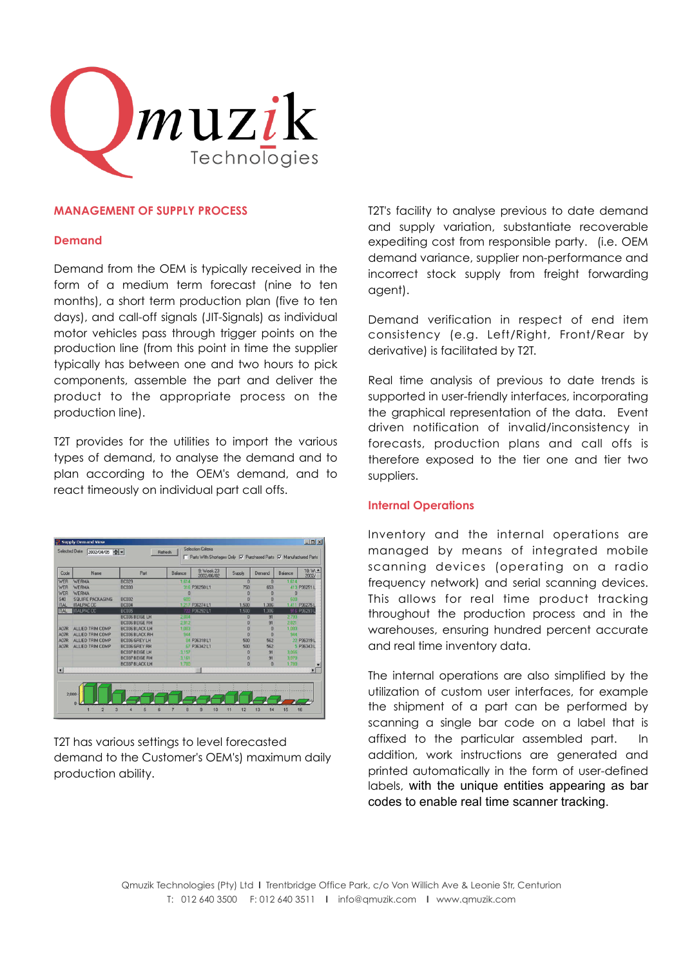

## **MANAGEMENT OF SUPPLY PROCESS**

#### **Demand**

Demand from the OEM is typically received in the form of a medium term forecast (nine to ten months), a short term production plan (five to ten days), and call-off signals (JIT-Signals) as individual motor vehicles pass through trigger points on the production line (from this point in time the supplier typically has between one and two hours to pick components, assemble the part and deliver the product to the appropriate process on the production line).

T2T provides for the utilities to import the various types of demand, to analyse the demand and to plan according to the OEM's demand, and to react timeously on individual part call offs.



T2T has various settings to level forecasted demand to the Customer's OEM's) maximum daily production ability.

T2T's facility to analyse previous to date demand and supply variation, substantiate recoverable expediting cost from responsible party. (i.e. OEM demand variance, supplier non-performance and incorrect stock supply from freight forwarding agent).

Demand verification in respect of end item consistency (e.g. Left/Right, Front/Rear by derivative) is facilitated by T2T.

Real time analysis of previous to date trends is supported in user-friendly interfaces, incorporating the graphical representation of the data. Event driven notification of invalid/inconsistency in forecasts, production plans and call offs is therefore exposed to the tier one and tier two suppliers.

#### **Internal Operations**

Inventory and the internal operations are managed by means of integrated mobile scanning devices (operating on a radio frequency network) and serial scanning devices. This allows for real time product tracking throughout the production process and in the warehouses, ensuring hundred percent accurate and real time inventory data.

The internal operations are also simplified by the utilization of custom user interfaces, for example the shipment of a part can be performed by scanning a single bar code on a label that is affixed to the particular assembled part. In addition, work instructions are generated and printed automatically in the form of user-defined labels, with the unique entities appearing as bar codes to enable real time scanner tracking.